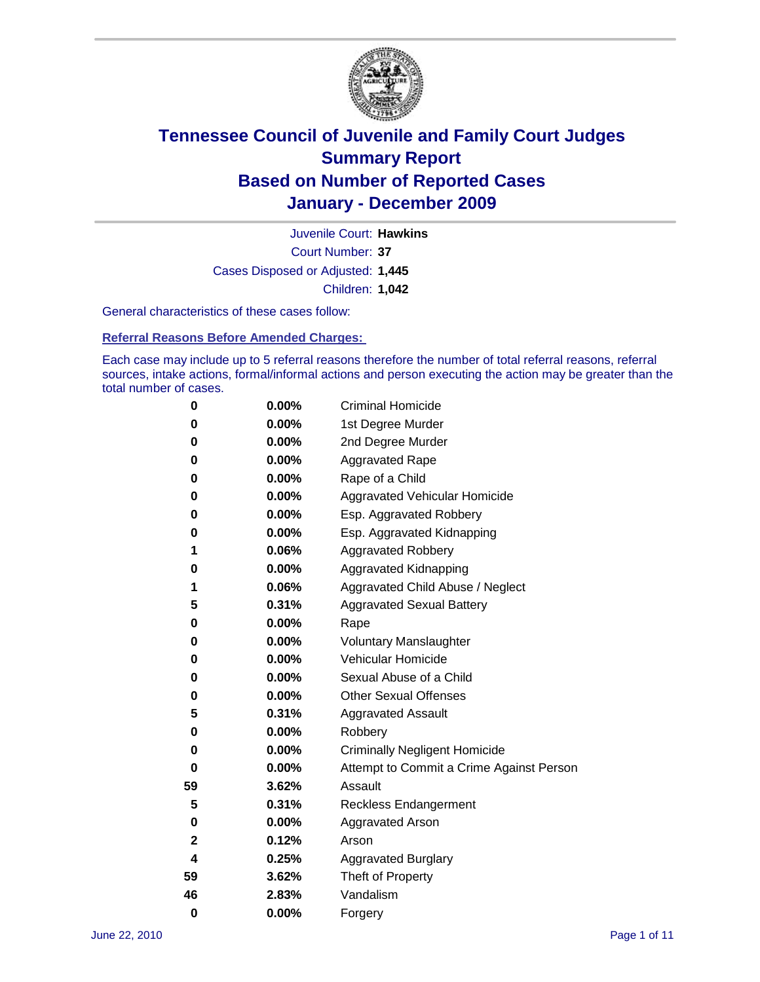

Court Number: **37** Juvenile Court: **Hawkins** Cases Disposed or Adjusted: **1,445** Children: **1,042**

General characteristics of these cases follow:

**Referral Reasons Before Amended Charges:** 

Each case may include up to 5 referral reasons therefore the number of total referral reasons, referral sources, intake actions, formal/informal actions and person executing the action may be greater than the total number of cases.

| 0  | 0.00% | <b>Criminal Homicide</b>                 |
|----|-------|------------------------------------------|
| 0  | 0.00% | 1st Degree Murder                        |
| 0  | 0.00% | 2nd Degree Murder                        |
| 0  | 0.00% | <b>Aggravated Rape</b>                   |
| 0  | 0.00% | Rape of a Child                          |
| 0  | 0.00% | Aggravated Vehicular Homicide            |
| 0  | 0.00% | Esp. Aggravated Robbery                  |
| 0  | 0.00% | Esp. Aggravated Kidnapping               |
| 1  | 0.06% | <b>Aggravated Robbery</b>                |
| 0  | 0.00% | Aggravated Kidnapping                    |
| 1  | 0.06% | Aggravated Child Abuse / Neglect         |
| 5  | 0.31% | <b>Aggravated Sexual Battery</b>         |
| 0  | 0.00% | Rape                                     |
| 0  | 0.00% | <b>Voluntary Manslaughter</b>            |
| 0  | 0.00% | Vehicular Homicide                       |
| 0  | 0.00% | Sexual Abuse of a Child                  |
| 0  | 0.00% | <b>Other Sexual Offenses</b>             |
| 5  | 0.31% | <b>Aggravated Assault</b>                |
| 0  | 0.00% | Robbery                                  |
| 0  | 0.00% | <b>Criminally Negligent Homicide</b>     |
| 0  | 0.00% | Attempt to Commit a Crime Against Person |
| 59 | 3.62% | Assault                                  |
| 5  | 0.31% | <b>Reckless Endangerment</b>             |
| 0  | 0.00% | <b>Aggravated Arson</b>                  |
| 2  | 0.12% | Arson                                    |
| 4  | 0.25% | <b>Aggravated Burglary</b>               |
| 59 | 3.62% | Theft of Property                        |
| 46 | 2.83% | Vandalism                                |
| 0  | 0.00% | Forgery                                  |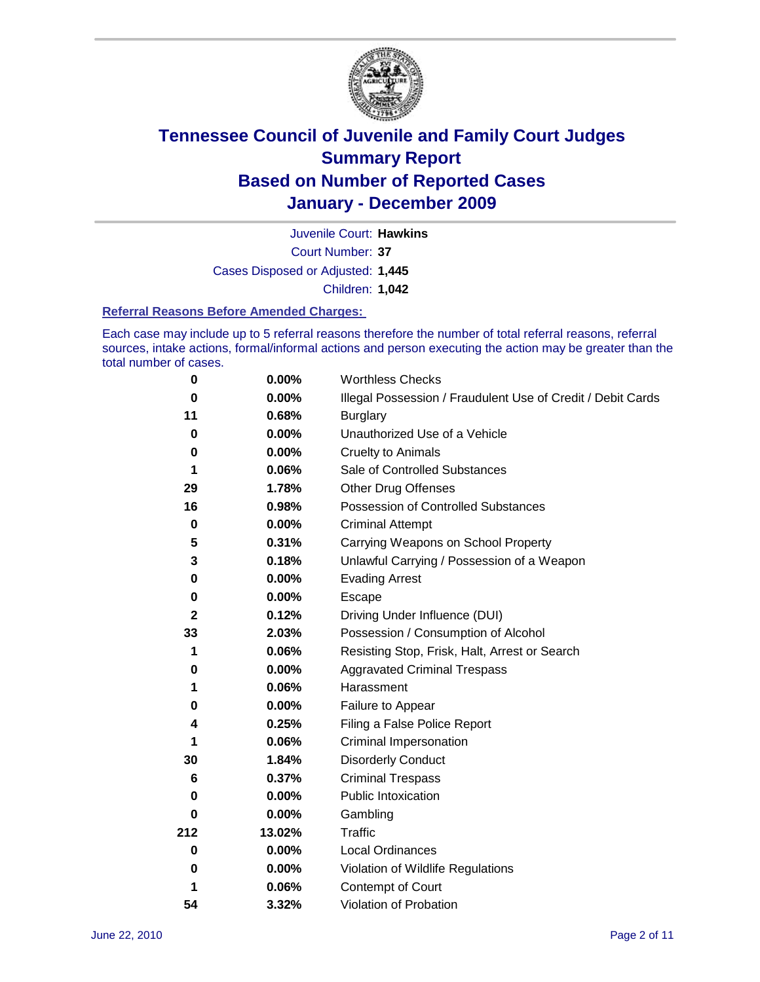

Court Number: **37** Juvenile Court: **Hawkins** Cases Disposed or Adjusted: **1,445** Children: **1,042**

#### **Referral Reasons Before Amended Charges:**

Each case may include up to 5 referral reasons therefore the number of total referral reasons, referral sources, intake actions, formal/informal actions and person executing the action may be greater than the total number of cases.

| $\bf{0}$     | 0.00%    | <b>Worthless Checks</b>                                     |
|--------------|----------|-------------------------------------------------------------|
| 0            | 0.00%    | Illegal Possession / Fraudulent Use of Credit / Debit Cards |
| 11           | 0.68%    | <b>Burglary</b>                                             |
| $\bf{0}$     | 0.00%    | Unauthorized Use of a Vehicle                               |
| 0            | $0.00\%$ | <b>Cruelty to Animals</b>                                   |
| 1            | 0.06%    | Sale of Controlled Substances                               |
| 29           | 1.78%    | <b>Other Drug Offenses</b>                                  |
| 16           | 0.98%    | Possession of Controlled Substances                         |
| $\mathbf 0$  | $0.00\%$ | <b>Criminal Attempt</b>                                     |
| 5            | 0.31%    | Carrying Weapons on School Property                         |
| 3            | 0.18%    | Unlawful Carrying / Possession of a Weapon                  |
| 0            | $0.00\%$ | <b>Evading Arrest</b>                                       |
| 0            | 0.00%    | Escape                                                      |
| $\mathbf{2}$ | 0.12%    | Driving Under Influence (DUI)                               |
| 33           | 2.03%    | Possession / Consumption of Alcohol                         |
| 1            | 0.06%    | Resisting Stop, Frisk, Halt, Arrest or Search               |
| 0            | $0.00\%$ | <b>Aggravated Criminal Trespass</b>                         |
| 1            | 0.06%    | Harassment                                                  |
| 0            | 0.00%    | Failure to Appear                                           |
| 4            | 0.25%    | Filing a False Police Report                                |
| 1            | 0.06%    | Criminal Impersonation                                      |
| 30           | 1.84%    | <b>Disorderly Conduct</b>                                   |
| 6            | 0.37%    | <b>Criminal Trespass</b>                                    |
| $\bf{0}$     | 0.00%    | <b>Public Intoxication</b>                                  |
| 0            | $0.00\%$ | Gambling                                                    |
| 212          | 13.02%   | <b>Traffic</b>                                              |
| 0            | $0.00\%$ | Local Ordinances                                            |
| 0            | $0.00\%$ | Violation of Wildlife Regulations                           |
| 1            | 0.06%    | Contempt of Court                                           |
| 54           | 3.32%    | Violation of Probation                                      |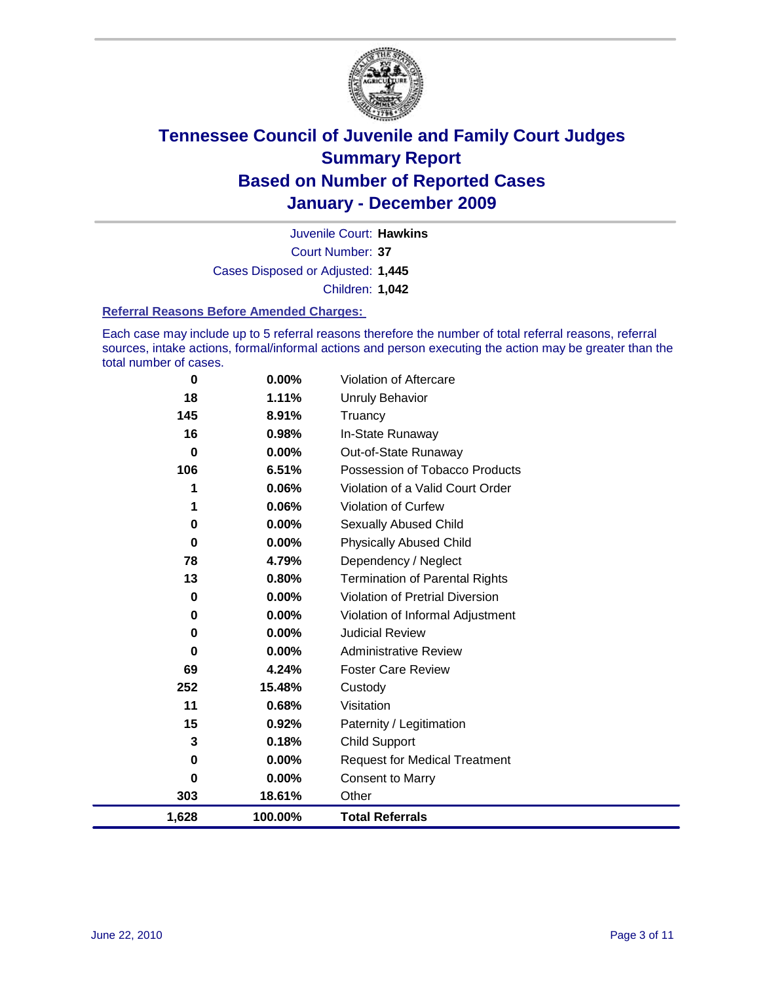

Court Number: **37** Juvenile Court: **Hawkins** Cases Disposed or Adjusted: **1,445** Children: **1,042**

#### **Referral Reasons Before Amended Charges:**

Each case may include up to 5 referral reasons therefore the number of total referral reasons, referral sources, intake actions, formal/informal actions and person executing the action may be greater than the total number of cases.

| 0        | 0.00%   | Violation of Aftercare                 |
|----------|---------|----------------------------------------|
| 18       | 1.11%   | <b>Unruly Behavior</b>                 |
| 145      | 8.91%   | Truancy                                |
| 16       | 0.98%   | In-State Runaway                       |
| 0        | 0.00%   | Out-of-State Runaway                   |
| 106      | 6.51%   | Possession of Tobacco Products         |
|          | 0.06%   | Violation of a Valid Court Order       |
| 1        | 0.06%   | Violation of Curfew                    |
| 0        | 0.00%   | Sexually Abused Child                  |
| $\bf{0}$ | 0.00%   | <b>Physically Abused Child</b>         |
| 78       | 4.79%   | Dependency / Neglect                   |
| 13       | 0.80%   | <b>Termination of Parental Rights</b>  |
| 0        | 0.00%   | <b>Violation of Pretrial Diversion</b> |
| 0        | 0.00%   | Violation of Informal Adjustment       |
| 0        | 0.00%   | <b>Judicial Review</b>                 |
| 0        | 0.00%   | <b>Administrative Review</b>           |
| 69       | 4.24%   | <b>Foster Care Review</b>              |
| 252      | 15.48%  | Custody                                |
| 11       | 0.68%   | Visitation                             |
| 15       | 0.92%   | Paternity / Legitimation               |
| 3        | 0.18%   | <b>Child Support</b>                   |
| $\bf{0}$ | 0.00%   | <b>Request for Medical Treatment</b>   |
| 0        | 0.00%   | <b>Consent to Marry</b>                |
| 303      | 18.61%  | Other                                  |
| 1,628    | 100.00% | <b>Total Referrals</b>                 |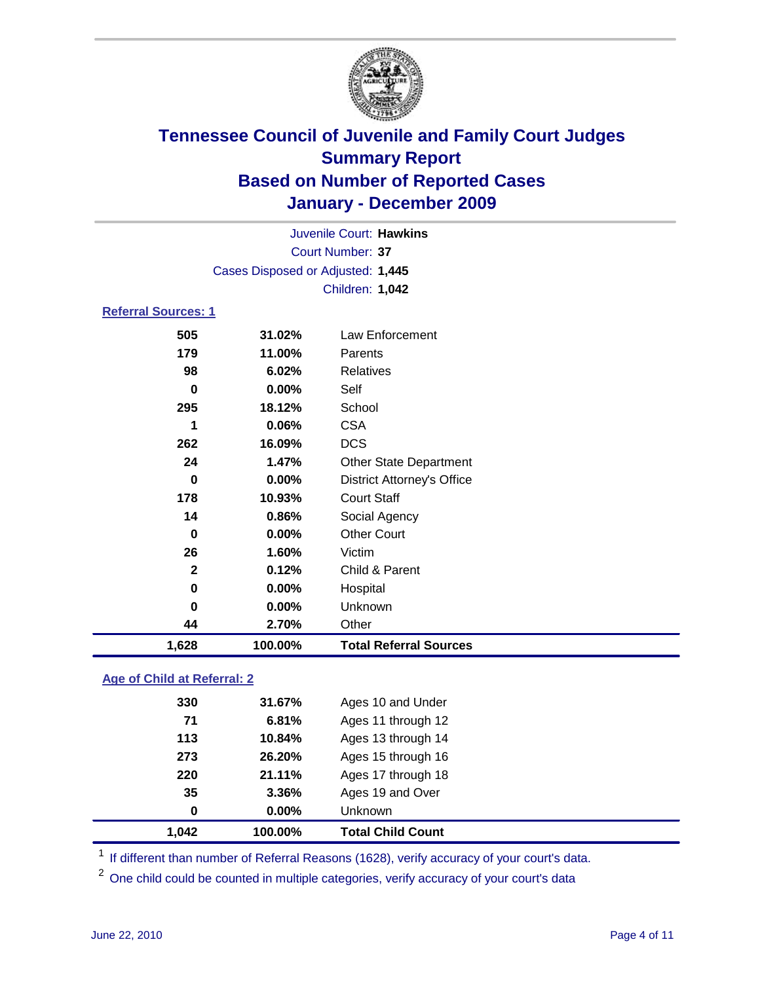

| 1,628                      | 100.00%                           | <b>Total Referral Sources</b>     |  |  |  |
|----------------------------|-----------------------------------|-----------------------------------|--|--|--|
| 44                         | 2.70%                             | Other                             |  |  |  |
| 0                          | 0.00%                             | Unknown                           |  |  |  |
| 0                          | 0.00%                             | Hospital                          |  |  |  |
| $\mathbf{2}$               | 0.12%                             | Child & Parent                    |  |  |  |
| 26                         | 1.60%                             | Victim                            |  |  |  |
| 0                          | 0.00%                             | <b>Other Court</b>                |  |  |  |
| 14                         | 0.86%                             | Social Agency                     |  |  |  |
| 178                        | 10.93%                            | <b>Court Staff</b>                |  |  |  |
| 0                          | 0.00%                             | <b>District Attorney's Office</b> |  |  |  |
| 24                         | 1.47%                             | Other State Department            |  |  |  |
| 262                        | 16.09%                            | <b>DCS</b>                        |  |  |  |
| 1                          | 0.06%                             | <b>CSA</b>                        |  |  |  |
| 295                        | 18.12%                            | School                            |  |  |  |
| 0                          | 0.00%                             | Self                              |  |  |  |
| 98                         | 6.02%                             | <b>Relatives</b>                  |  |  |  |
| 179                        | 11.00%                            | Parents                           |  |  |  |
| 505                        | 31.02%                            | Law Enforcement                   |  |  |  |
| <b>Referral Sources: 1</b> |                                   |                                   |  |  |  |
|                            | Children: 1,042                   |                                   |  |  |  |
|                            | Cases Disposed or Adjusted: 1,445 |                                   |  |  |  |
|                            |                                   | Court Number: 37                  |  |  |  |
|                            |                                   |                                   |  |  |  |
|                            | Juvenile Court: Hawkins           |                                   |  |  |  |

### **Age of Child at Referral: 2**

| 1,042 | 100.00% | <b>Total Child Count</b> |
|-------|---------|--------------------------|
| 0     | 0.00%   | Unknown                  |
| 35    | 3.36%   | Ages 19 and Over         |
| 220   | 21.11%  | Ages 17 through 18       |
| 273   | 26.20%  | Ages 15 through 16       |
| 113   | 10.84%  | Ages 13 through 14       |
| 71    | 6.81%   | Ages 11 through 12       |
| 330   | 31.67%  | Ages 10 and Under        |
|       |         |                          |

<sup>1</sup> If different than number of Referral Reasons (1628), verify accuracy of your court's data.

<sup>2</sup> One child could be counted in multiple categories, verify accuracy of your court's data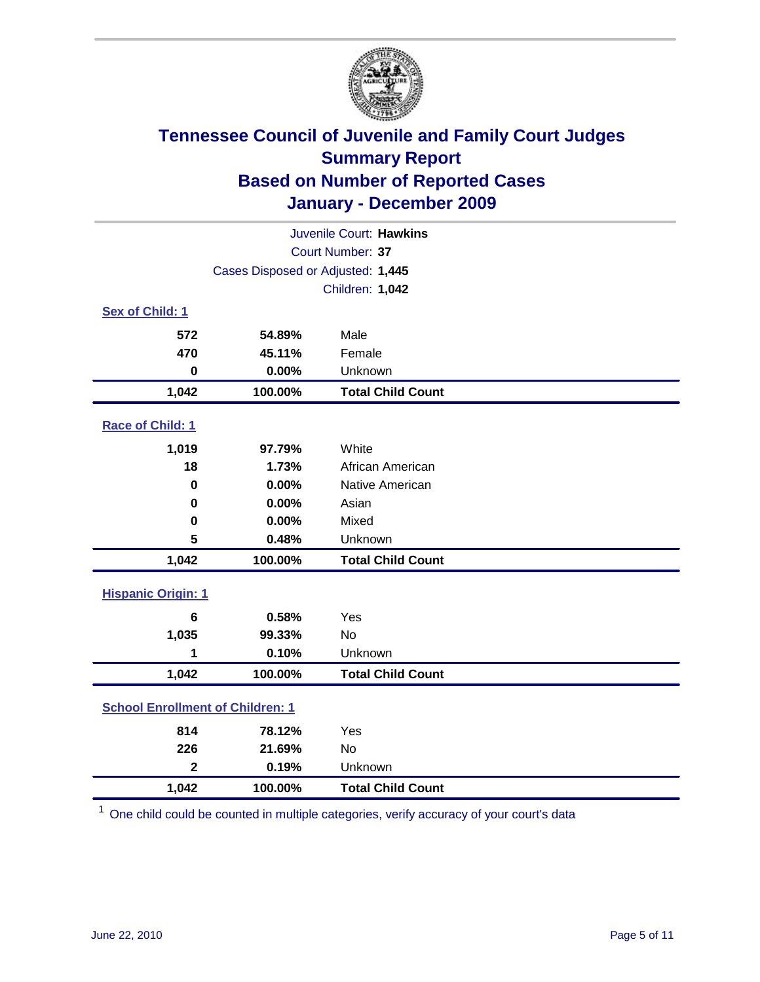

| Juvenile Court: Hawkins                 |                                   |                          |  |  |  |
|-----------------------------------------|-----------------------------------|--------------------------|--|--|--|
|                                         | Court Number: 37                  |                          |  |  |  |
|                                         | Cases Disposed or Adjusted: 1,445 |                          |  |  |  |
|                                         | Children: 1,042                   |                          |  |  |  |
| Sex of Child: 1                         |                                   |                          |  |  |  |
| 572                                     | 54.89%                            | Male                     |  |  |  |
| 470                                     | 45.11%                            | Female                   |  |  |  |
| $\mathbf 0$                             | 0.00%                             | Unknown                  |  |  |  |
| 1,042                                   | 100.00%                           | <b>Total Child Count</b> |  |  |  |
| Race of Child: 1                        |                                   |                          |  |  |  |
| 1,019                                   | 97.79%                            | White                    |  |  |  |
| 18                                      | 1.73%                             | African American         |  |  |  |
| $\mathbf 0$                             | 0.00%                             | Native American          |  |  |  |
| $\mathbf 0$                             | 0.00%                             | Asian                    |  |  |  |
| $\mathbf 0$                             | 0.00%                             | Mixed                    |  |  |  |
| 5                                       | 0.48%                             | Unknown                  |  |  |  |
| 1,042                                   | 100.00%                           | <b>Total Child Count</b> |  |  |  |
| <b>Hispanic Origin: 1</b>               |                                   |                          |  |  |  |
| 6                                       | 0.58%                             | Yes                      |  |  |  |
| 1,035                                   | 99.33%                            | <b>No</b>                |  |  |  |
| 1                                       | 0.10%                             | Unknown                  |  |  |  |
| 1,042                                   | 100.00%                           | <b>Total Child Count</b> |  |  |  |
| <b>School Enrollment of Children: 1</b> |                                   |                          |  |  |  |
| 814                                     | 78.12%                            | Yes                      |  |  |  |
| 226                                     | 21.69%                            | No                       |  |  |  |
| $\overline{2}$                          | 0.19%                             | Unknown                  |  |  |  |
| 1,042                                   | 100.00%                           | <b>Total Child Count</b> |  |  |  |

<sup>1</sup> One child could be counted in multiple categories, verify accuracy of your court's data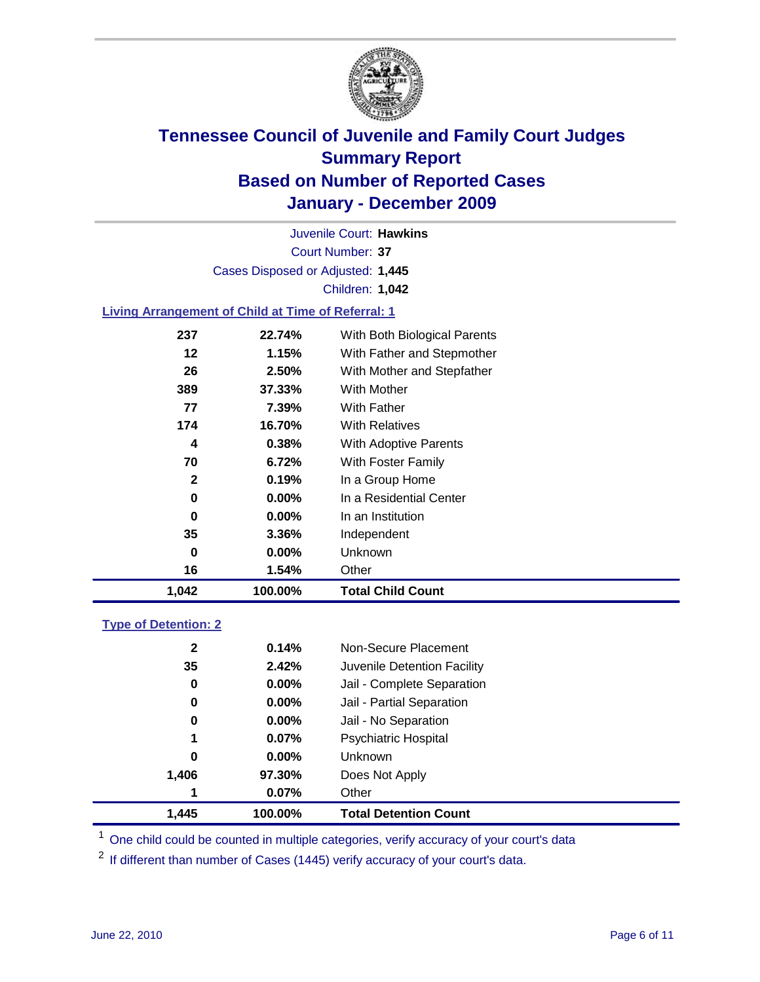

Court Number: **37** Juvenile Court: **Hawkins** Cases Disposed or Adjusted: **1,445** Children: **1,042**

#### **Living Arrangement of Child at Time of Referral: 1**

| 1,042 | 100.00%  | <b>Total Child Count</b>     |
|-------|----------|------------------------------|
| 16    | 1.54%    | Other                        |
| 0     | $0.00\%$ | Unknown                      |
| 35    | 3.36%    | Independent                  |
| 0     | $0.00\%$ | In an Institution            |
| 0     | $0.00\%$ | In a Residential Center      |
| 2     | 0.19%    | In a Group Home              |
| 70    | 6.72%    | With Foster Family           |
| 4     | 0.38%    | With Adoptive Parents        |
| 174   | 16.70%   | <b>With Relatives</b>        |
| 77    | 7.39%    | With Father                  |
| 389   | 37.33%   | With Mother                  |
| 26    | 2.50%    | With Mother and Stepfather   |
| 12    | 1.15%    | With Father and Stepmother   |
| 237   | 22.74%   | With Both Biological Parents |
|       |          |                              |

### **Type of Detention: 2**

| 1.445        | 100.00%  | <b>Total Detention Count</b> |  |
|--------------|----------|------------------------------|--|
| 1            | 0.07%    | Other                        |  |
| 1,406        | 97.30%   | Does Not Apply               |  |
| 0            | $0.00\%$ | Unknown                      |  |
| 1            | 0.07%    | Psychiatric Hospital         |  |
| 0            | 0.00%    | Jail - No Separation         |  |
| 0            | $0.00\%$ | Jail - Partial Separation    |  |
| 0            | 0.00%    | Jail - Complete Separation   |  |
| 35           | 2.42%    | Juvenile Detention Facility  |  |
| $\mathbf{2}$ | 0.14%    | Non-Secure Placement         |  |
|              |          |                              |  |

<sup>1</sup> One child could be counted in multiple categories, verify accuracy of your court's data

<sup>2</sup> If different than number of Cases (1445) verify accuracy of your court's data.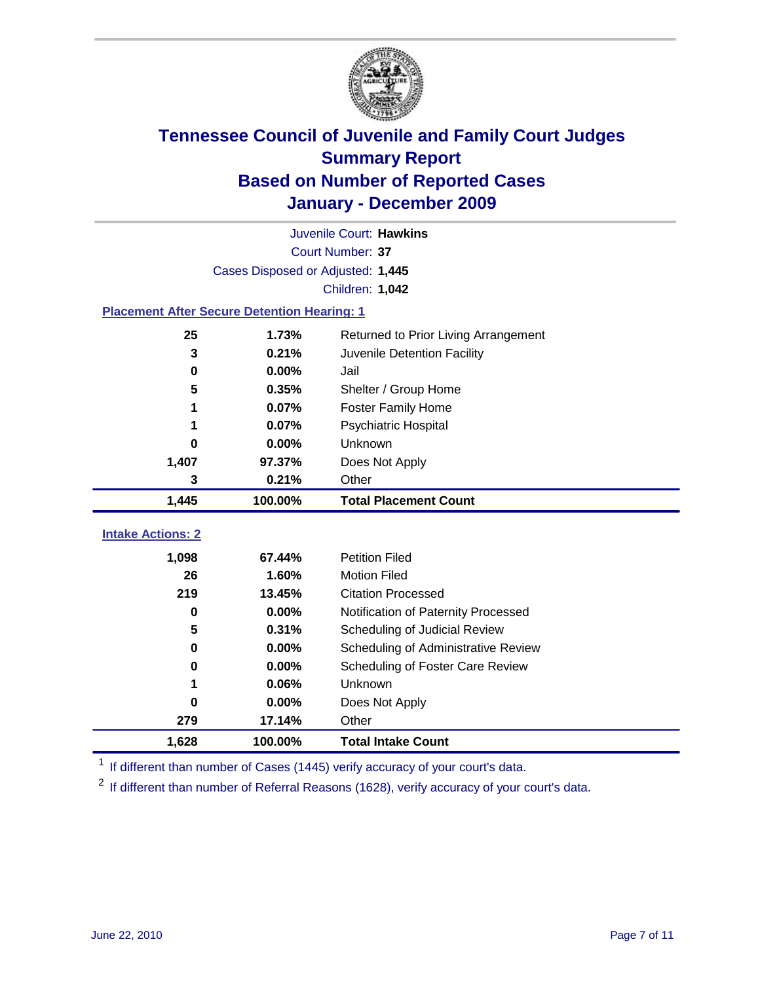

|                                                    | Juvenile Court: Hawkins           |                                      |  |  |  |
|----------------------------------------------------|-----------------------------------|--------------------------------------|--|--|--|
|                                                    | Court Number: 37                  |                                      |  |  |  |
|                                                    | Cases Disposed or Adjusted: 1,445 |                                      |  |  |  |
|                                                    |                                   | Children: 1,042                      |  |  |  |
| <b>Placement After Secure Detention Hearing: 1</b> |                                   |                                      |  |  |  |
| 25                                                 | 1.73%                             | Returned to Prior Living Arrangement |  |  |  |
| 3                                                  | 0.21%                             | Juvenile Detention Facility          |  |  |  |
| 0                                                  | 0.00%                             | Jail                                 |  |  |  |
| 5                                                  | 0.35%                             | Shelter / Group Home                 |  |  |  |
| 1                                                  | 0.07%                             | <b>Foster Family Home</b>            |  |  |  |
| 1                                                  | 0.07%                             | Psychiatric Hospital                 |  |  |  |
| 0                                                  | 0.00%                             | Unknown                              |  |  |  |
| 1,407                                              | 97.37%                            | Does Not Apply                       |  |  |  |
| 3                                                  | 0.21%                             | Other                                |  |  |  |
| 1,445                                              | 100.00%                           | <b>Total Placement Count</b>         |  |  |  |
| <b>Intake Actions: 2</b>                           |                                   |                                      |  |  |  |
|                                                    |                                   |                                      |  |  |  |
| 1,098                                              | 67.44%                            | <b>Petition Filed</b>                |  |  |  |
| 26                                                 | 1.60%                             | <b>Motion Filed</b>                  |  |  |  |
| 219                                                | 13.45%                            | <b>Citation Processed</b>            |  |  |  |
| $\bf{0}$                                           | 0.00%                             | Notification of Paternity Processed  |  |  |  |
| 5                                                  | 0.31%                             | Scheduling of Judicial Review        |  |  |  |
| 0                                                  | 0.00%                             | Scheduling of Administrative Review  |  |  |  |
| 0                                                  | 0.00%                             | Scheduling of Foster Care Review     |  |  |  |
|                                                    | 0.06%                             | Unknown                              |  |  |  |
| 0                                                  | 0.00%                             | Does Not Apply                       |  |  |  |
| 279                                                | 17.14%                            | Other                                |  |  |  |
| 1,628                                              | 100.00%                           | <b>Total Intake Count</b>            |  |  |  |

<sup>1</sup> If different than number of Cases (1445) verify accuracy of your court's data.

<sup>2</sup> If different than number of Referral Reasons (1628), verify accuracy of your court's data.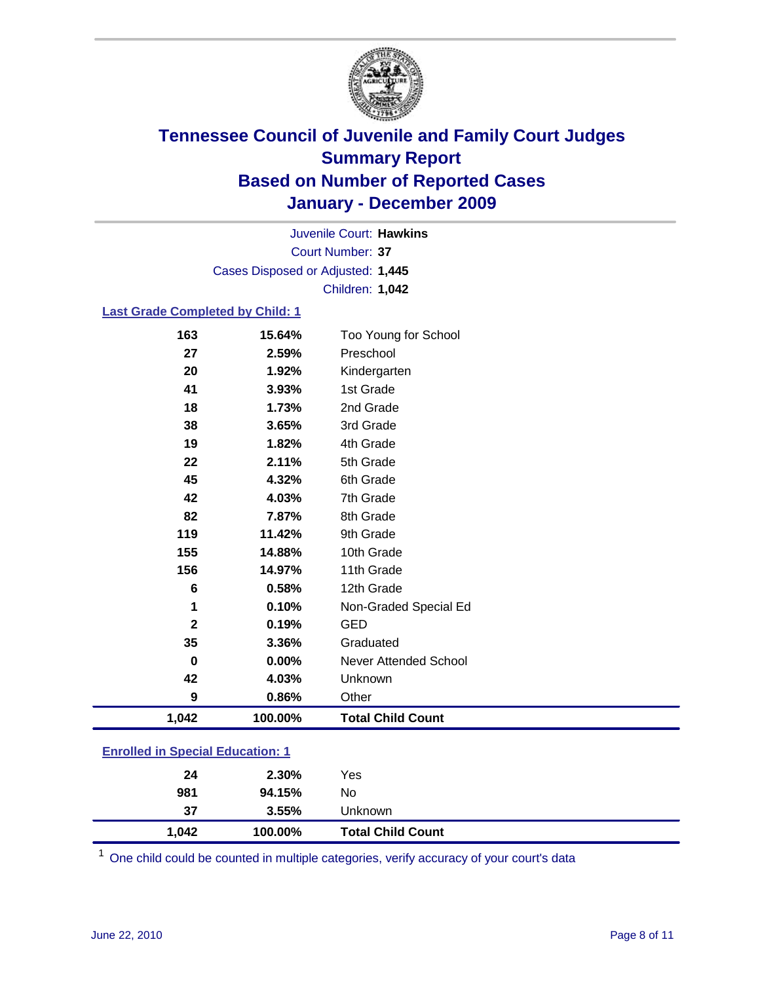

Court Number: **37** Juvenile Court: **Hawkins** Cases Disposed or Adjusted: **1,445** Children: **1,042**

#### **Last Grade Completed by Child: 1**

| 163                                     | 15.64%  | Too Young for School         |  |
|-----------------------------------------|---------|------------------------------|--|
| 27                                      | 2.59%   | Preschool                    |  |
| 20                                      | 1.92%   | Kindergarten                 |  |
| 41                                      | 3.93%   | 1st Grade                    |  |
| 18                                      | 1.73%   | 2nd Grade                    |  |
| 38                                      | 3.65%   | 3rd Grade                    |  |
| 19                                      | 1.82%   | 4th Grade                    |  |
| 22                                      | 2.11%   | 5th Grade                    |  |
| 45                                      | 4.32%   | 6th Grade                    |  |
| 42                                      | 4.03%   | 7th Grade                    |  |
| 82                                      | 7.87%   | 8th Grade                    |  |
| 119                                     | 11.42%  | 9th Grade                    |  |
| 155                                     | 14.88%  | 10th Grade                   |  |
| 156                                     | 14.97%  | 11th Grade                   |  |
| 6                                       | 0.58%   | 12th Grade                   |  |
| 1                                       | 0.10%   | Non-Graded Special Ed        |  |
| $\mathbf{2}$                            | 0.19%   | <b>GED</b>                   |  |
| 35                                      | 3.36%   | Graduated                    |  |
| $\mathbf 0$                             | 0.00%   | <b>Never Attended School</b> |  |
| 42                                      | 4.03%   | Unknown                      |  |
| 9                                       | 0.86%   | Other                        |  |
| 1,042                                   | 100.00% | <b>Total Child Count</b>     |  |
| <b>Enrolled in Special Education: 1</b> |         |                              |  |

One child could be counted in multiple categories, verify accuracy of your court's data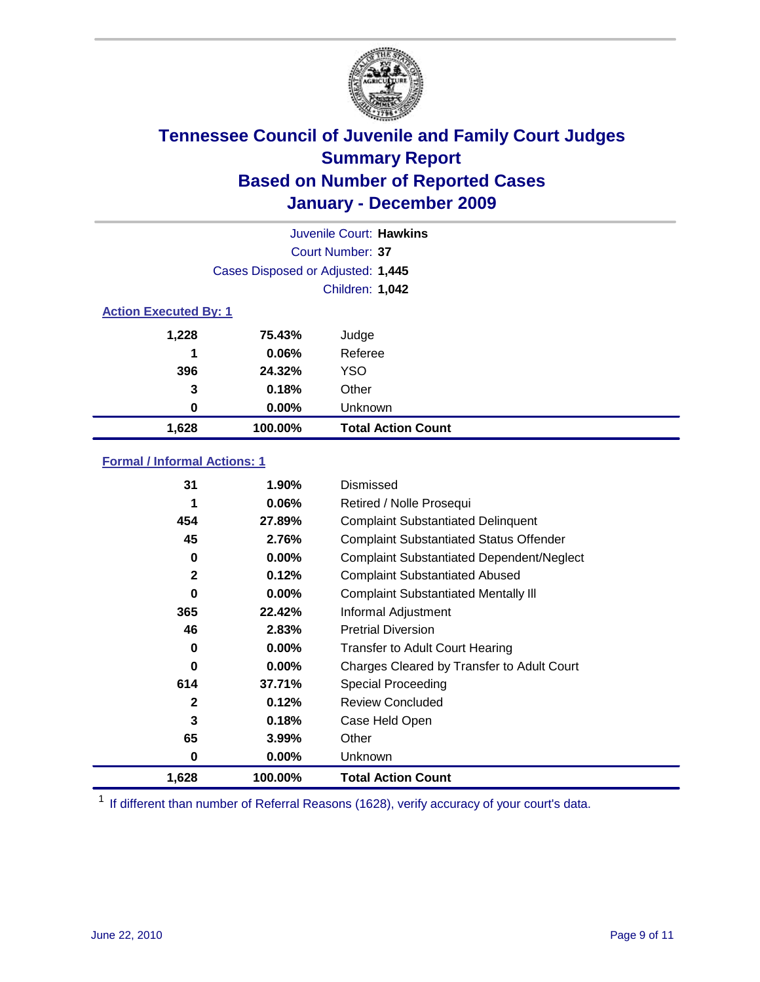

| Juvenile Court: Hawkins |                                   |                           |  |  |  |
|-------------------------|-----------------------------------|---------------------------|--|--|--|
|                         | Court Number: 37                  |                           |  |  |  |
|                         | Cases Disposed or Adjusted: 1,445 |                           |  |  |  |
|                         | <b>Children: 1,042</b>            |                           |  |  |  |
|                         | <b>Action Executed By: 1</b>      |                           |  |  |  |
| 1,228                   | 75.43%                            | Judge                     |  |  |  |
| 1                       | 0.06%                             | Referee                   |  |  |  |
| 396                     | 24.32%                            | <b>YSO</b>                |  |  |  |
| 3                       | 0.18%                             | Other                     |  |  |  |
| 0                       | 0.00%                             | Unknown                   |  |  |  |
| 1,628                   | 100.00%                           | <b>Total Action Count</b> |  |  |  |

### **Formal / Informal Actions: 1**

| 31           | 1.90%    | Dismissed                                        |
|--------------|----------|--------------------------------------------------|
| 1            | $0.06\%$ | Retired / Nolle Prosequi                         |
| 454          | 27.89%   | <b>Complaint Substantiated Delinquent</b>        |
| 45           | 2.76%    | <b>Complaint Substantiated Status Offender</b>   |
| 0            | $0.00\%$ | <b>Complaint Substantiated Dependent/Neglect</b> |
| $\mathbf{2}$ | 0.12%    | <b>Complaint Substantiated Abused</b>            |
| $\bf{0}$     | $0.00\%$ | <b>Complaint Substantiated Mentally III</b>      |
| 365          | 22.42%   | Informal Adjustment                              |
| 46           | 2.83%    | <b>Pretrial Diversion</b>                        |
| 0            | $0.00\%$ | <b>Transfer to Adult Court Hearing</b>           |
| 0            | $0.00\%$ | Charges Cleared by Transfer to Adult Court       |
| 614          | 37.71%   | Special Proceeding                               |
| 2            | 0.12%    | <b>Review Concluded</b>                          |
| 3            | 0.18%    | Case Held Open                                   |
| 65           | 3.99%    | Other                                            |
| 0            | $0.00\%$ | <b>Unknown</b>                                   |
| 1,628        | 100.00%  | <b>Total Action Count</b>                        |

<sup>1</sup> If different than number of Referral Reasons (1628), verify accuracy of your court's data.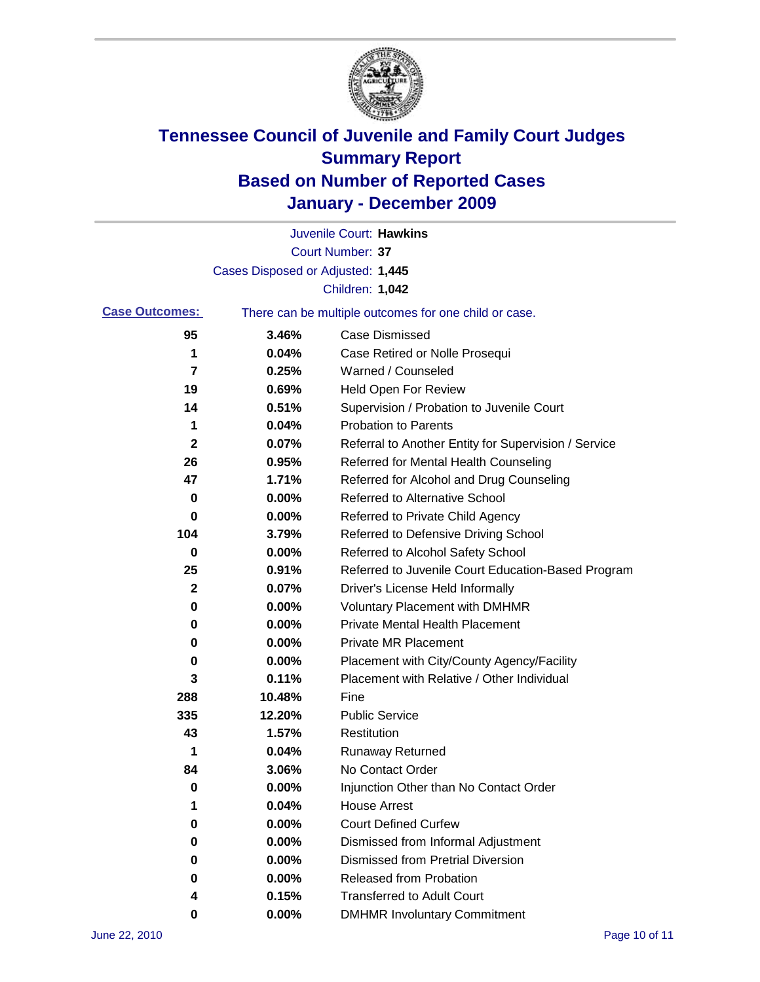

|                       |                                   | Juvenile Court: Hawkins                               |
|-----------------------|-----------------------------------|-------------------------------------------------------|
|                       |                                   | Court Number: 37                                      |
|                       | Cases Disposed or Adjusted: 1,445 |                                                       |
|                       |                                   | Children: 1,042                                       |
| <b>Case Outcomes:</b> |                                   | There can be multiple outcomes for one child or case. |
| 95                    | 3.46%                             | <b>Case Dismissed</b>                                 |
| 1                     | 0.04%                             | Case Retired or Nolle Prosequi                        |
| 7                     | 0.25%                             | Warned / Counseled                                    |
| 19                    | 0.69%                             | <b>Held Open For Review</b>                           |
| 14                    | 0.51%                             | Supervision / Probation to Juvenile Court             |
| 1                     | 0.04%                             | <b>Probation to Parents</b>                           |
| $\mathbf 2$           | 0.07%                             | Referral to Another Entity for Supervision / Service  |
| 26                    | 0.95%                             | Referred for Mental Health Counseling                 |
| 47                    | 1.71%                             | Referred for Alcohol and Drug Counseling              |
| 0                     | 0.00%                             | Referred to Alternative School                        |
| 0                     | 0.00%                             | Referred to Private Child Agency                      |
| 104                   | 3.79%                             | Referred to Defensive Driving School                  |
| 0                     | 0.00%                             | Referred to Alcohol Safety School                     |
| 25                    | 0.91%                             | Referred to Juvenile Court Education-Based Program    |
| 2                     | 0.07%                             | Driver's License Held Informally                      |
| 0                     | 0.00%                             | <b>Voluntary Placement with DMHMR</b>                 |
| 0                     | 0.00%                             | <b>Private Mental Health Placement</b>                |
| 0                     | 0.00%                             | <b>Private MR Placement</b>                           |
| 0                     | 0.00%                             | Placement with City/County Agency/Facility            |
| 3                     | 0.11%                             | Placement with Relative / Other Individual            |
| 288                   | 10.48%                            | Fine                                                  |
| 335                   | 12.20%                            | <b>Public Service</b>                                 |
| 43                    | 1.57%                             | Restitution                                           |
| 1                     | 0.04%                             | <b>Runaway Returned</b>                               |
| 84                    | 3.06%                             | No Contact Order                                      |
| 0                     | 0.00%                             | Injunction Other than No Contact Order                |
| 1                     | 0.04%                             | <b>House Arrest</b>                                   |
| 0                     | 0.00%                             | <b>Court Defined Curfew</b>                           |
| 0                     | 0.00%                             | Dismissed from Informal Adjustment                    |
| 0                     | 0.00%                             | <b>Dismissed from Pretrial Diversion</b>              |
| 0                     | 0.00%                             | Released from Probation                               |
| 4                     | 0.15%                             | <b>Transferred to Adult Court</b>                     |
| 0                     | 0.00%                             | <b>DMHMR Involuntary Commitment</b>                   |